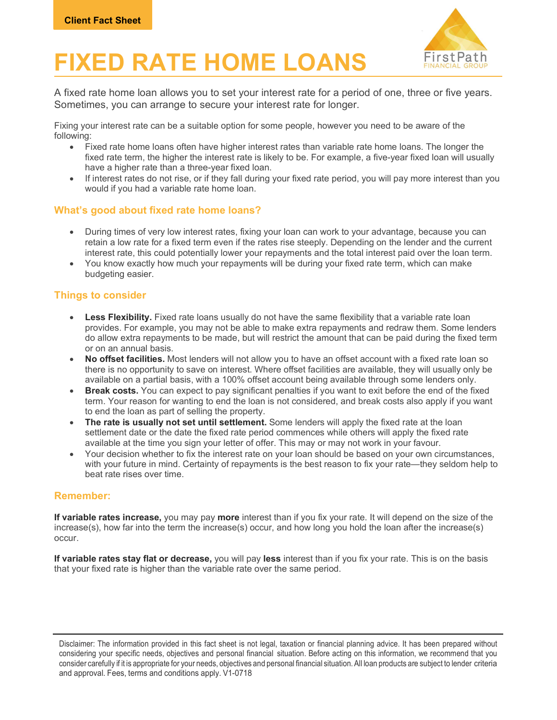

# FIXED RATE HOME LOANS First Path

A fixed rate home loan allows you to set your interest rate for a period of one, three or five years. Sometimes, you can arrange to secure your interest rate for longer.

Fixing your interest rate can be a suitable option for some people, however you need to be aware of the following:

- Fixed rate home loans often have higher interest rates than variable rate home loans. The longer the fixed rate term, the higher the interest rate is likely to be. For example, a five-year fixed loan will usually have a higher rate than a three-year fixed loan.
- If interest rates do not rise, or if they fall during your fixed rate period, you will pay more interest than you would if you had a variable rate home loan.

## What's good about fixed rate home loans?

- During times of very low interest rates, fixing your loan can work to your advantage, because you can retain a low rate for a fixed term even if the rates rise steeply. Depending on the lender and the current interest rate, this could potentially lower your repayments and the total interest paid over the loan term.
- You know exactly how much your repayments will be during your fixed rate term, which can make budgeting easier.

# Things to consider

- Less Flexibility. Fixed rate loans usually do not have the same flexibility that a variable rate loan provides. For example, you may not be able to make extra repayments and redraw them. Some lenders do allow extra repayments to be made, but will restrict the amount that can be paid during the fixed term or on an annual basis.
- No offset facilities. Most lenders will not allow you to have an offset account with a fixed rate loan so there is no opportunity to save on interest. Where offset facilities are available, they will usually only be available on a partial basis, with a 100% offset account being available through some lenders only.
- Break costs. You can expect to pay significant penalties if you want to exit before the end of the fixed term. Your reason for wanting to end the loan is not considered, and break costs also apply if you want to end the loan as part of selling the property.
- The rate is usually not set until settlement. Some lenders will apply the fixed rate at the loan settlement date or the date the fixed rate period commences while others will apply the fixed rate available at the time you sign your letter of offer. This may or may not work in your favour.
- Your decision whether to fix the interest rate on your loan should be based on your own circumstances, with your future in mind. Certainty of repayments is the best reason to fix your rate—they seldom help to beat rate rises over time.

#### Remember:

If variable rates increase, you may pay more interest than if you fix your rate. It will depend on the size of the increase(s), how far into the term the increase(s) occur, and how long you hold the loan after the increase(s) occur.

If variable rates stay flat or decrease, you will pay less interest than if you fix your rate. This is on the basis that your fixed rate is higher than the variable rate over the same period.

Disclaimer: The information provided in this fact sheet is not legal, taxation or financial planning advice. It has been prepared without considering your specific needs, objectives and personal financial situation. Before acting on this information, we recommend that you consider carefully if it is appropriate for your needs, objectives and personal financial situation. All loan products are subject to lender criteria and approval. Fees, terms and conditions apply. V1-0718